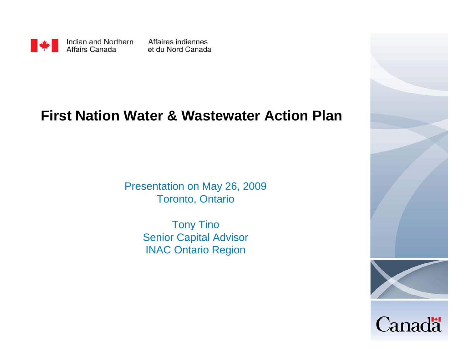

#### **First Nation Water & Wastewater Action Plan**

Presentation on May 26, 2009 Toronto, Ontario

> Tony Tino Senior Capital Advisor INAC Ontario Region

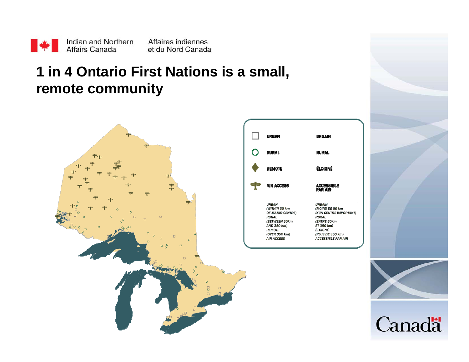

## **1 in 4 Ontario First Nations is a small, remote community**



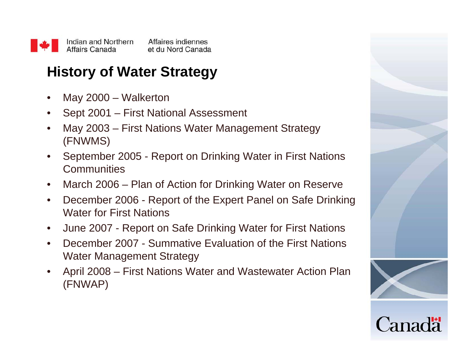

# **History of Water Strategy**

- •May 2000 – Walkerton
- $\bullet$ Sept 2001 – First National Assessment
- $\bullet$  May 2003 – First Nations Water Management Strategy (FNWMS)
- • September 2005 - Report on Drinking Water in First Nations **Communities**
- $\bullet$ March 2006 – Plan of Action for Drinking Water on Reserve
- $\bullet$  December 2006 - Report of the Expert Panel on Safe Drinking Water for First Nations
- $\bullet$ June 2007 - Report on Safe Drinking Water for First Nations
- • December 2007 - Summative Evaluation of the First Nations Water Management Strategy
- • April 2008 – First Nations Water and Wastewater Action Plan (FNWAP)



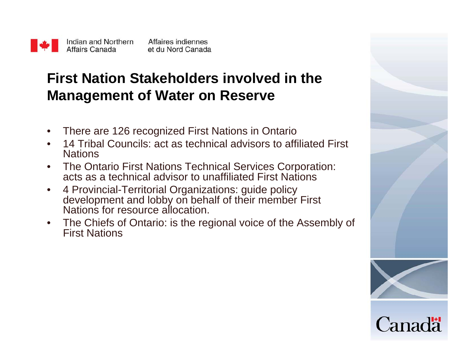

# **First Nation Stakeholders involved in the Management of Water on Reserve**

- $\bullet$ There are 126 recognized First Nations in Ontario
- • 14 Tribal Councils: act as technical advisors to affiliated First **Nations**
- $\bullet$  The Ontario First Nations Technical Services Corporation: acts as a technical advisor to unaffiliated First Nations
- $\bullet$  4 Provincial-Territorial Organizations: guide policy development and lobby on behalf of their member First Nations for resource allocation.
- • The Chiefs of Ontario: is the regional voice of the Assembly of First Nations

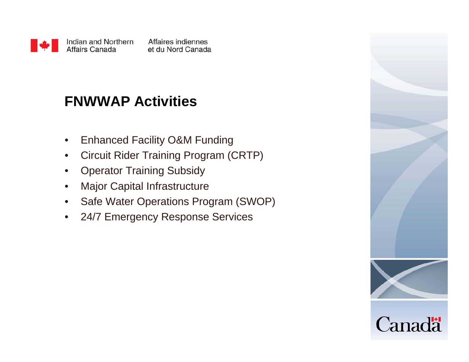

### **FNWWAP Activities**

- $\bullet$ Enhanced Facility O&M Funding
- •Circuit Rider Training Program (CRTP)
- $\bullet$ Operator Training Subsidy
- $\bullet$ Major Capital Infrastructure
- $\bullet$ Safe Water Operations Program (SWOP)
- $\bullet$ 24/7 Emergency Response Services

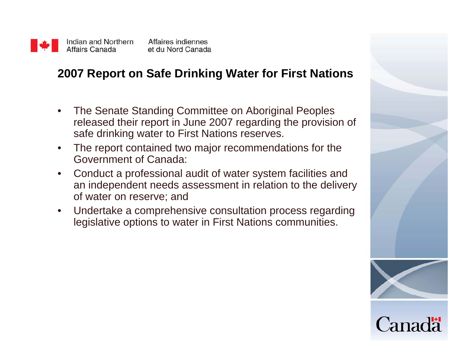

#### **2007 Report on Safe Drinking Water for First Nations**

- $\bullet$  The Senate Standing Committee on Aboriginal Peoples released their report in June 2007 regarding the provision of safe drinking water to First Nations reserves.
- $\bullet$  The report contained two major recommendations for the Government of Canada:
- $\bullet$  Conduct a professional audit of water system facilities and an independent needs assessment in relation to the delivery of water on reserve; and
- $\bullet$  Undertake a comprehensive consultation process regarding legislative options to water in First Nations communities.